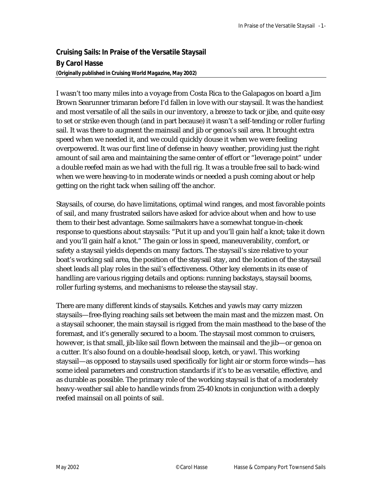**Cruising Sails: In Praise of the Versatile Staysail By Carol Hasse**  *(Originally published in Cruising World Magazine, May 2002)*

I wasn't too many miles into a voyage from Costa Rica to the Galapagos on board a Jim Brown Searunner trimaran before I'd fallen in love with our staysail. It was the handiest and most versatile of all the sails in our inventory, a breeze to tack or jibe, and quite easy to set or strike even though (and in part because) it wasn't a self-tending or roller furling sail. It was there to augment the mainsail and jib or genoa's sail area. It brought extra speed when we needed it, and we could quickly douse it when we were feeling overpowered. It was our first line of defense in heavy weather, providing just the right amount of sail area and maintaining the same center of effort or "leverage point" under a double reefed main as we had with the full rig. It was a trouble free sail to back-wind when we were heaving-to in moderate winds or needed a push coming about or help getting on the right tack when sailing off the anchor.

Staysails, of course, do have limitations, optimal wind ranges, and most favorable points of sail, and many frustrated sailors have asked for advice about when and how to use them to their best advantage. Some sailmakers have a somewhat tongue-in-cheek response to questions about staysails: "Put it up and you'll gain half a knot; take it down and you'll gain half a knot." The gain or loss in speed, maneuverability, comfort, or safety a staysail yields depends on many factors. The staysail's size relative to your boat's working sail area, the position of the staysail stay, and the location of the staysail sheet leads all play roles in the sail's effectiveness. Other key elements in its ease of handling are various rigging details and options: running backstays, staysail booms, roller furling systems, and mechanisms to release the staysail stay.

There are many different kinds of staysails. Ketches and yawls may carry mizzen staysails—free-flying reaching sails set between the main mast and the mizzen mast. On a staysail schooner, the main staysail is rigged from the main masthead to the base of the foremast, and it's generally secured to a boom. The staysail most common to cruisers, however, is that small, jib-like sail flown between the mainsail and the jib—or genoa on a cutter. It's also found on a double-headsail sloop, ketch, or yawl. This working staysail—as opposed to staysails used specifically for light air or storm force winds—has some ideal parameters and construction standards if it's to be as versatile, effective, and as durable as possible. The primary role of the working staysail is that of a moderately heavy-weather sail able to handle winds from 25-40 knots in conjunction with a deeply reefed mainsail on all points of sail.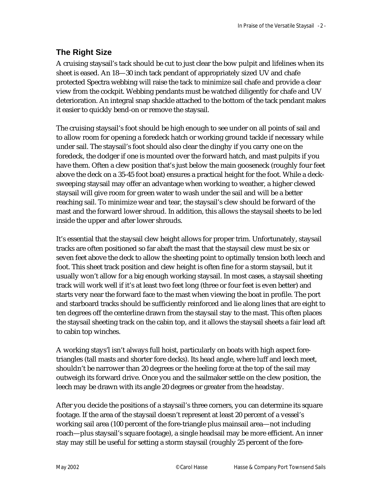## **The Right Size**

A cruising staysail's tack should be cut to just clear the bow pulpit and lifelines when its sheet is eased. An 18—30 inch tack pendant of appropriately sized UV and chafe protected Spectra webbing will raise the tack to minimize sail chafe and provide a clear view from the cockpit. Webbing pendants must be watched diligently for chafe and UV deterioration. An integral snap shackle attached to the bottom of the tack pendant makes it easier to quickly bend-on or remove the staysail.

The cruising staysail's foot should be high enough to see under on all points of sail and to allow room for opening a foredeck hatch or working ground tackle if necessary while under sail. The staysail's foot should also clear the dinghy if you carry one on the foredeck, the dodger if one is mounted over the forward hatch, and mast pulpits if you have them. Often a clew position that's just below the main gooseneck (roughly four feet above the deck on a 35-45 foot boat) ensures a practical height for the foot. While a decksweeping staysail may offer an advantage when working to weather, a higher clewed staysail will give room for green water to wash under the sail and will be a better reaching sail. To minimize wear and tear, the staysail's clew should be forward of the mast and the forward lower shroud. In addition, this allows the staysail sheets to be led inside the upper and after lower shrouds.

It's essential that the staysail clew height allows for proper trim. Unfortunately, staysail tracks are often positioned so far abaft the mast that the staysail clew must be six or seven feet above the deck to allow the sheeting point to optimally tension both leech and foot. This sheet track position and clew height is often fine for a storm staysail, but it usually won't allow for a big enough working staysail. In most cases, a staysail sheeting track will work well if it's at least two feet long (three or four feet is even better) and starts very near the forward face to the mast when viewing the boat in profile. The port and starboard tracks should be sufficiently reinforced and lie along lines that are eight to ten degrees off the centerline drawn from the staysail stay to the mast. This often places the staysail sheeting track on the cabin top, and it allows the staysail sheets a fair lead aft to cabin top winches.

A working stays'l isn't always full hoist, particularly on boats with high aspect foretriangles (tall masts and shorter fore decks). Its head angle, where luff and leech meet, shouldn't be narrower than 20 degrees or the heeling force at the top of the sail may outweigh its forward drive. Once you and the sailmaker settle on the clew position, the leech may be drawn with its angle 20 degrees or greater from the headstay.

After you decide the positions of a staysail's three corners, you can determine its square footage. If the area of the staysail doesn't represent at least 20 percent of a vessel's working sail area (100 percent of the fore-triangle plus mainsail area—not including roach—plus staysail's square footage), a single headsail may be more efficient. An inner stay may still be useful for setting a storm staysail (roughly 25 percent of the fore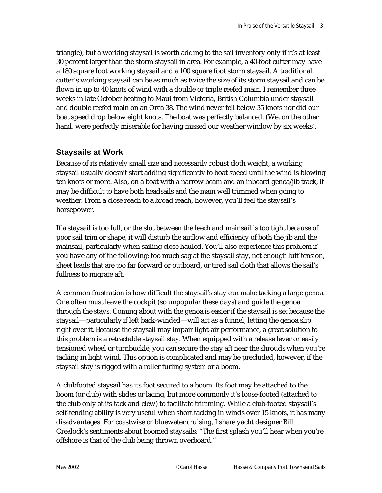triangle), but a working staysail is worth adding to the sail inventory only if it's at least 30 percent larger than the storm staysail in area. For example, a 40-foot cutter may have a 180 square foot working staysail and a 100 square foot storm staysail. A traditional cutter's working staysail can be as much as twice the size of its storm staysail and can be flown in up to 40 knots of wind with a double or triple reefed main. I remember three weeks in late October beating to Maui from Victoria, British Columbia under staysail and double reefed main on an Orca 38. The wind never fell below 35 knots nor did our boat speed drop below eight knots. The boat was perfectly balanced. (We, on the other hand, were perfectly miserable for having missed our weather window by six weeks).

## **Staysails at Work**

Because of its relatively small size and necessarily robust cloth weight, a working staysail usually doesn't start adding significantly to boat speed until the wind is blowing ten knots or more. Also, on a boat with a narrow beam and an inboard genoa/jib track, it may be difficult to have both headsails and the main well trimmed when going to weather. From a close reach to a broad reach, however, you'll feel the staysail's horsepower.

If a staysail is too full, or the slot between the leech and mainsail is too tight because of poor sail trim or shape, it will disturb the airflow and efficiency of both the jib and the mainsail, particularly when sailing close hauled. You'll also experience this problem if you have any of the following: too much sag at the staysail stay, not enough luff tension, sheet leads that are too far forward or outboard, or tired sail cloth that allows the sail's fullness to migrate aft.

A common frustration is how difficult the staysail's stay can make tacking a large genoa. One often must leave the cockpit (so unpopular these days) and guide the genoa through the stays. Coming about with the genoa is easier if the staysail is set because the staysail—particularly if left back-winded—will act as a funnel, letting the genoa slip right over it. Because the staysail may impair light-air performance, a great solution to this problem is a retractable staysail stay. When equipped with a release lever or easily tensioned wheel or turnbuckle, you can secure the stay aft near the shrouds when you're tacking in light wind. This option is complicated and may be precluded, however, if the staysail stay is rigged with a roller furling system or a boom.

A clubfooted staysail has its foot secured to a boom. Its foot may be attached to the boom (or club) with slides or lacing, but more commonly it's loose-footed (attached to the club only at its tack and clew) to facilitate trimming. While a club-footed staysail's self-tending ability is very useful when short tacking in winds over 15 knots, it has many disadvantages. For coastwise or bluewater cruising, I share yacht designer Bill Crealock's sentiments about boomed staysails: "The first splash you'll hear when you're offshore is that of the club being thrown overboard."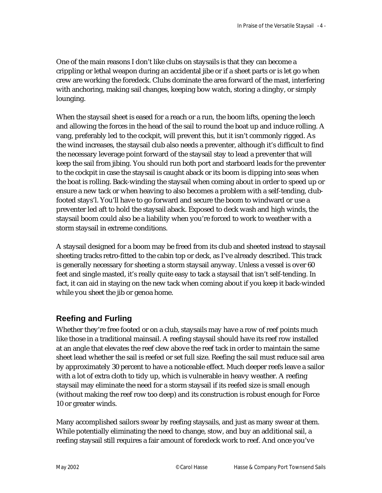One of the main reasons I don't like clubs on staysails is that they can become a crippling or lethal weapon during an accidental jibe or if a sheet parts or is let go when crew are working the foredeck. Clubs dominate the area forward of the mast, interfering with anchoring, making sail changes, keeping bow watch, storing a dinghy, or simply lounging.

When the staysail sheet is eased for a reach or a run, the boom lifts, opening the leech and allowing the forces in the head of the sail to round the boat up and induce rolling. A vang, preferably led to the cockpit, will prevent this, but it isn't commonly rigged. As the wind increases, the staysail club also needs a preventer, although it's difficult to find the necessary leverage point forward of the staysail stay to lead a preventer that will keep the sail from jibing. You should run both port and starboard leads for the preventer to the cockpit in case the staysail is caught aback or its boom is dipping into seas when the boat is rolling. Back-winding the staysail when coming about in order to speed up or ensure a new tack or when heaving to also becomes a problem with a self-tending, clubfooted stays'l. You'll have to go forward and secure the boom to windward or use a preventer led aft to hold the staysail aback. Exposed to deck wash and high winds, the staysail boom could also be a liability when you're forced to work to weather with a storm staysail in extreme conditions.

A staysail designed for a boom may be freed from its club and sheeted instead to staysail sheeting tracks retro-fitted to the cabin top or deck, as I've already described. This track is generally necessary for sheeting a storm staysail anyway. Unless a vessel is over 60 feet and single masted, it's really quite easy to tack a staysail that isn't self-tending. In fact, it can aid in staying on the new tack when coming about if you keep it back-winded while you sheet the jib or genoa home.

## **Reefing and Furling**

Whether they're free footed or on a club, staysails may have a row of reef points much like those in a traditional mainsail. A reefing staysail should have its reef row installed at an angle that elevates the reef clew above the reef tack in order to maintain the same sheet lead whether the sail is reefed or set full size. Reefing the sail must reduce sail area by approximately 30 percent to have a noticeable effect. Much deeper reefs leave a sailor with a lot of extra cloth to tidy up, which is vulnerable in heavy weather. A reefing staysail may eliminate the need for a storm staysail if its reefed size is small enough (without making the reef row too deep) and its construction is robust enough for Force 10 or greater winds.

Many accomplished sailors swear by reefing staysails, and just as many swear at them. While potentially eliminating the need to change, stow, and buy an additional sail, a reefing staysail still requires a fair amount of foredeck work to reef. And once you've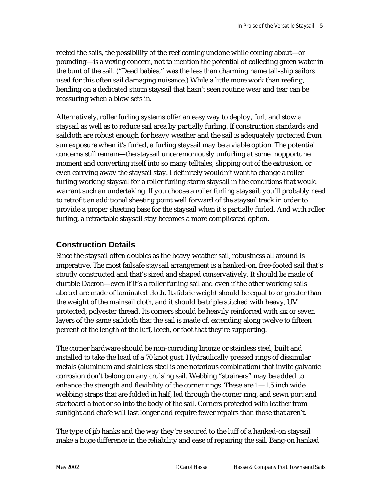reefed the sails, the possibility of the reef coming undone while coming about—or pounding—is a vexing concern, not to mention the potential of collecting green water in the bunt of the sail. ("Dead babies," was the less than charming name tall-ship sailors used for this often sail damaging nuisance.) While a little more work than reefing, bending on a dedicated storm staysail that hasn't seen routine wear and tear can be reassuring when a blow sets in.

Alternatively, roller furling systems offer an easy way to deploy, furl, and stow a staysail as well as to reduce sail area by partially furling. If construction standards and sailcloth are robust enough for heavy weather and the sail is adequately protected from sun exposure when it's furled, a furling staysail may be a viable option. The potential concerns still remain—the staysail unceremoniously unfurling at some inopportune moment and converting itself into so many telltales, slipping out of the extrusion, or even carrying away the staysail stay. I definitely wouldn't want to change a roller furling working staysail for a roller furling storm staysail in the conditions that would warrant such an undertaking. If you choose a roller furling staysail, you'll probably need to retrofit an additional sheeting point well forward of the staysail track in order to provide a proper sheeting base for the staysail when it's partially furled. And with roller furling, a retractable staysail stay becomes a more complicated option.

## **Construction Details**

Since the staysail often doubles as the heavy weather sail, robustness all around is imperative. The most failsafe staysail arrangement is a hanked-on, free-footed sail that's stoutly constructed and that's sized and shaped conservatively. It should be made of durable Dacron—even if it's a roller furling sail and even if the other working sails aboard are made of laminated cloth. Its fabric weight should be equal to or greater than the weight of the mainsail cloth, and it should be triple stitched with heavy, UV protected, polyester thread. Its corners should be heavily reinforced with six or seven layers of the same sailcloth that the sail is made of, extending along twelve to fifteen percent of the length of the luff, leech, or foot that they're supporting.

The corner hardware should be non-corroding bronze or stainless steel, built and installed to take the load of a 70 knot gust. Hydraulically pressed rings of dissimilar metals (aluminum and stainless steel is one notorious combination) that invite galvanic corrosion don't belong on any cruising sail. Webbing "strainers" may be added to enhance the strength and flexibility of the corner rings. These are  $1 - 1.5$  inch wide webbing straps that are folded in half, led through the corner ring, and sewn port and starboard a foot or so into the body of the sail. Corners protected with leather from sunlight and chafe will last longer and require fewer repairs than those that aren't.

The type of jib hanks and the way they're secured to the luff of a hanked-on staysail make a huge difference in the reliability and ease of repairing the sail. Bang-on hanked